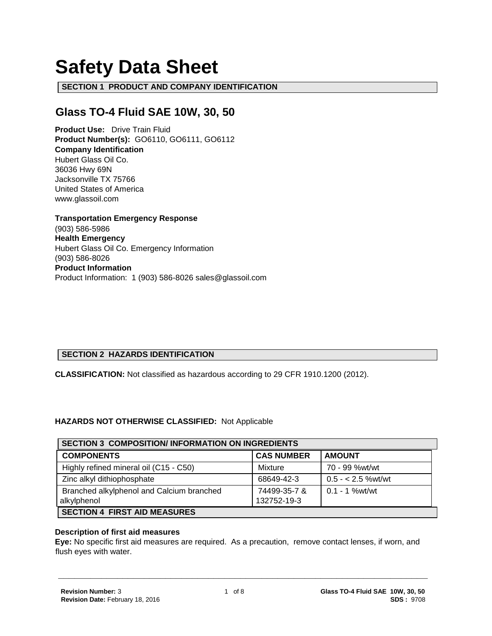# **Safety Data Sheet**

**SECTION 1 PRODUCT AND COMPANY IDENTIFICATION**

# **Glass TO-4 Fluid SAE 10W, 30, 50**

**Product Use:** Drive Train Fluid **Product Number(s):** GO6110, GO6111, GO6112 **Company Identification** Hubert Glass Oil Co. 36036 Hwy 69N Jacksonville TX 75766 United States of America www.glassoil.com

**Transportation Emergency Response** (903) 586-5986 **Health Emergency** Hubert Glass Oil Co. Emergency Information (903) 586-8026 **Product Information**  Product Information: 1 (903) 586-8026 sales@glassoil.com

# **SECTION 2 HAZARDS IDENTIFICATION**

**CLASSIFICATION:** Not classified as hazardous according to 29 CFR 1910.1200 (2012).

#### **HAZARDS NOT OTHERWISE CLASSIFIED:** Not Applicable

| <b>SECTION 3 COMPOSITION/INFORMATION ON INGREDIENTS</b> |                   |                      |  |  |
|---------------------------------------------------------|-------------------|----------------------|--|--|
| <b>COMPONENTS</b>                                       | <b>CAS NUMBER</b> | <b>AMOUNT</b>        |  |  |
| Highly refined mineral oil (C15 - C50)                  | Mixture           | 70 - 99 %wt/wt       |  |  |
| Zinc alkyl dithiophosphate                              | 68649-42-3        | $0.5 - < 2.5$ %wt/wt |  |  |
| Branched alkylphenol and Calcium branched               | 74499-35-7 &      | $0.1 - 1$ % wt/wt    |  |  |
| alkylphenol                                             | 132752-19-3       |                      |  |  |
| <b>SECTION 4 FIRST AID MEASURES</b>                     |                   |                      |  |  |

#### **Description of first aid measures**

**Eye:** No specific first aid measures are required. As a precaution, remove contact lenses, if worn, and flush eyes with water.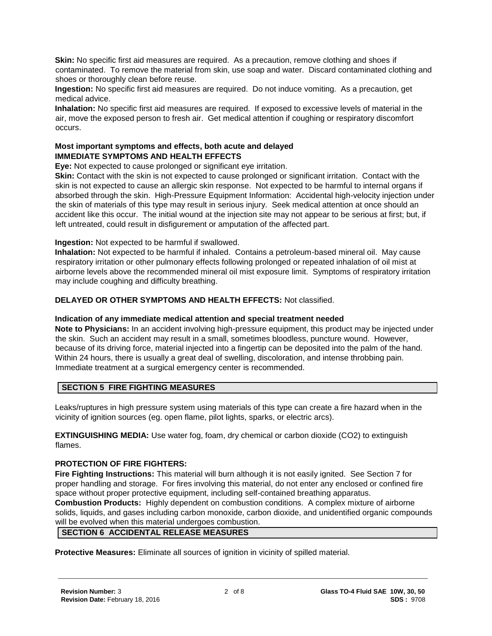**Skin:** No specific first aid measures are required. As a precaution, remove clothing and shoes if contaminated. To remove the material from skin, use soap and water. Discard contaminated clothing and shoes or thoroughly clean before reuse.

**Ingestion:** No specific first aid measures are required. Do not induce vomiting. As a precaution, get medical advice.

**Inhalation:** No specific first aid measures are required. If exposed to excessive levels of material in the air, move the exposed person to fresh air. Get medical attention if coughing or respiratory discomfort occurs.

#### **Most important symptoms and effects, both acute and delayed IMMEDIATE SYMPTOMS AND HEALTH EFFECTS**

**Eye:** Not expected to cause prolonged or significant eye irritation.

**Skin:** Contact with the skin is not expected to cause prolonged or significant irritation. Contact with the skin is not expected to cause an allergic skin response. Not expected to be harmful to internal organs if absorbed through the skin. High-Pressure Equipment Information: Accidental high-velocity injection under the skin of materials of this type may result in serious injury. Seek medical attention at once should an accident like this occur. The initial wound at the injection site may not appear to be serious at first; but, if left untreated, could result in disfigurement or amputation of the affected part.

**Ingestion:** Not expected to be harmful if swallowed.

**Inhalation:** Not expected to be harmful if inhaled. Contains a petroleum-based mineral oil. May cause respiratory irritation or other pulmonary effects following prolonged or repeated inhalation of oil mist at airborne levels above the recommended mineral oil mist exposure limit. Symptoms of respiratory irritation may include coughing and difficulty breathing.

#### **DELAYED OR OTHER SYMPTOMS AND HEALTH EFFECTS:** Not classified.

#### **Indication of any immediate medical attention and special treatment needed**

**Note to Physicians:** In an accident involving high-pressure equipment, this product may be injected under the skin. Such an accident may result in a small, sometimes bloodless, puncture wound. However, because of its driving force, material injected into a fingertip can be deposited into the palm of the hand. Within 24 hours, there is usually a great deal of swelling, discoloration, and intense throbbing pain. Immediate treatment at a surgical emergency center is recommended.

### **SECTION 5 FIRE FIGHTING MEASURES**

Leaks/ruptures in high pressure system using materials of this type can create a fire hazard when in the vicinity of ignition sources (eg. open flame, pilot lights, sparks, or electric arcs).

**EXTINGUISHING MEDIA:** Use water fog, foam, dry chemical or carbon dioxide (CO2) to extinguish flames.

# **PROTECTION OF FIRE FIGHTERS:**

**Fire Fighting Instructions:** This material will burn although it is not easily ignited. See Section 7 for proper handling and storage. For fires involving this material, do not enter any enclosed or confined fire space without proper protective equipment, including self-contained breathing apparatus. **Combustion Products:** Highly dependent on combustion conditions. A complex mixture of airborne solids, liquids, and gases including carbon monoxide, carbon dioxide, and unidentified organic compounds will be evolved when this material undergoes combustion.

# **SECTION 6 ACCIDENTAL RELEASE MEASURES**

**Protective Measures:** Eliminate all sources of ignition in vicinity of spilled material.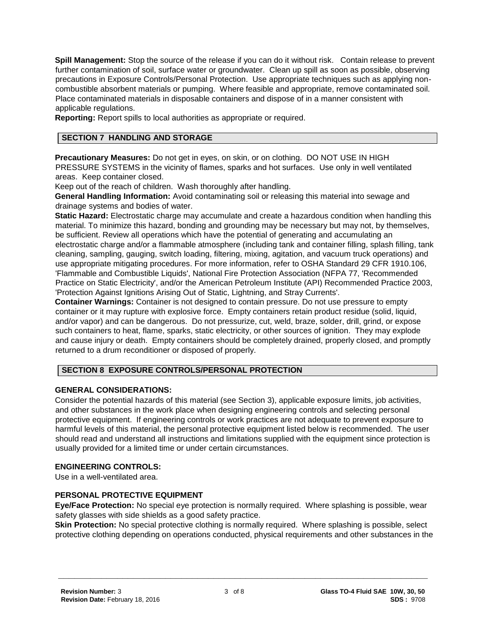**Spill Management:** Stop the source of the release if you can do it without risk. Contain release to prevent further contamination of soil, surface water or groundwater. Clean up spill as soon as possible, observing precautions in Exposure Controls/Personal Protection. Use appropriate techniques such as applying noncombustible absorbent materials or pumping. Where feasible and appropriate, remove contaminated soil. Place contaminated materials in disposable containers and dispose of in a manner consistent with applicable regulations.

**Reporting:** Report spills to local authorities as appropriate or required.

# **SECTION 7 HANDLING AND STORAGE**

**Precautionary Measures:** Do not get in eyes, on skin, or on clothing. DO NOT USE IN HIGH PRESSURE SYSTEMS in the vicinity of flames, sparks and hot surfaces. Use only in well ventilated areas. Keep container closed.

Keep out of the reach of children. Wash thoroughly after handling.

**General Handling Information:** Avoid contaminating soil or releasing this material into sewage and drainage systems and bodies of water.

**Static Hazard:** Electrostatic charge may accumulate and create a hazardous condition when handling this material. To minimize this hazard, bonding and grounding may be necessary but may not, by themselves, be sufficient. Review all operations which have the potential of generating and accumulating an electrostatic charge and/or a flammable atmosphere (including tank and container filling, splash filling, tank cleaning, sampling, gauging, switch loading, filtering, mixing, agitation, and vacuum truck operations) and use appropriate mitigating procedures. For more information, refer to OSHA Standard 29 CFR 1910.106, 'Flammable and Combustible Liquids', National Fire Protection Association (NFPA 77, 'Recommended Practice on Static Electricity', and/or the American Petroleum Institute (API) Recommended Practice 2003, 'Protection Against Ignitions Arising Out of Static, Lightning, and Stray Currents'.

**Container Warnings:** Container is not designed to contain pressure. Do not use pressure to empty container or it may rupture with explosive force. Empty containers retain product residue (solid, liquid, and/or vapor) and can be dangerous. Do not pressurize, cut, weld, braze, solder, drill, grind, or expose such containers to heat, flame, sparks, static electricity, or other sources of ignition. They may explode and cause injury or death. Empty containers should be completely drained, properly closed, and promptly returned to a drum reconditioner or disposed of properly.

# **SECTION 8 EXPOSURE CONTROLS/PERSONAL PROTECTION**

# **GENERAL CONSIDERATIONS:**

Consider the potential hazards of this material (see Section 3), applicable exposure limits, job activities, and other substances in the work place when designing engineering controls and selecting personal protective equipment. If engineering controls or work practices are not adequate to prevent exposure to harmful levels of this material, the personal protective equipment listed below is recommended. The user should read and understand all instructions and limitations supplied with the equipment since protection is usually provided for a limited time or under certain circumstances.

#### **ENGINEERING CONTROLS:**

Use in a well-ventilated area.

# **PERSONAL PROTECTIVE EQUIPMENT**

**Eye/Face Protection:** No special eye protection is normally required. Where splashing is possible, wear safety glasses with side shields as a good safety practice.

**Skin Protection:** No special protective clothing is normally required. Where splashing is possible, select protective clothing depending on operations conducted, physical requirements and other substances in the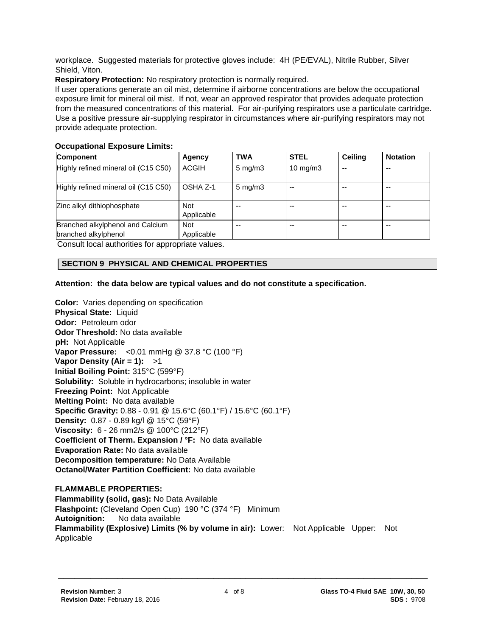workplace. Suggested materials for protective gloves include: 4H (PE/EVAL), Nitrile Rubber, Silver Shield, Viton.

**Respiratory Protection:** No respiratory protection is normally required.

If user operations generate an oil mist, determine if airborne concentrations are below the occupational exposure limit for mineral oil mist. If not, wear an approved respirator that provides adequate protection from the measured concentrations of this material. For air-purifying respirators use a particulate cartridge. Use a positive pressure air-supplying respirator in circumstances where air-purifying respirators may not provide adequate protection.

### **Occupational Exposure Limits:**

| Component                                                | Agency                   | <b>TWA</b>         | <b>STEL</b>       | <b>Ceiling</b> | <b>Notation</b> |
|----------------------------------------------------------|--------------------------|--------------------|-------------------|----------------|-----------------|
| Highly refined mineral oil (C15 C50)                     | <b>ACGIH</b>             | $5 \text{ mg/m}$ 3 | $10 \text{ mg/m}$ | --             | $- -$           |
| Highly refined mineral oil (C15 C50)                     | OSHA Z-1                 | $5 \text{ mg/m}$ 3 | --                | --             | $-$             |
| Zinc alkyl dithiophosphate                               | <b>Not</b><br>Applicable | --                 | --                |                | $- -$           |
| Branched alkylphenol and Calcium<br>branched alkylphenol | <b>Not</b><br>Applicable | --                 | --                | --             | $- -$           |

Consult local authorities for appropriate values.

# **SECTION 9 PHYSICAL AND CHEMICAL PROPERTIES**

# **Attention: the data below are typical values and do not constitute a specification.**

**Color:** Varies depending on specification **Physical State:** Liquid **Odor:** Petroleum odor **Odor Threshold:** No data available **pH:** Not Applicable **Vapor Pressure:** <0.01 mmHg @ 37.8 °C (100 °F) **Vapor Density (Air = 1):** >1 **Initial Boiling Point:** 315°C (599°F) **Solubility:** Soluble in hydrocarbons; insoluble in water **Freezing Point:** Not Applicable **Melting Point:** No data available **Specific Gravity:** 0.88 - 0.91 @ 15.6°C (60.1°F) / 15.6°C (60.1°F) **Density:** 0.87 - 0.89 kg/l @ 15°C (59°F) **Viscosity:** 6 - 26 mm2/s @ 100°C (212°F) **Coefficient of Therm. Expansion / °F:** No data available **Evaporation Rate:** No data available **Decomposition temperature:** No Data Available **Octanol/Water Partition Coefficient:** No data available

**FLAMMABLE PROPERTIES: Flammability (solid, gas):** No Data Available **Flashpoint:** (Cleveland Open Cup) 190 °C (374 °F) Minimum **Autoignition:** No data available **Flammability (Explosive) Limits (% by volume in air):** Lower: Not Applicable Upper: Not Applicable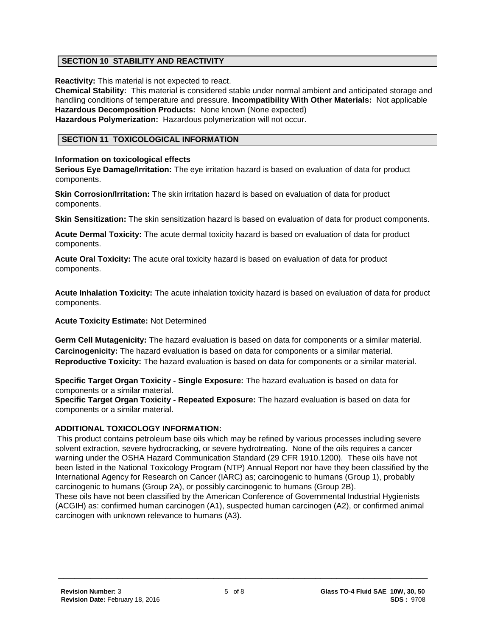# **SECTION 10 STABILITY AND REACTIVITY**

**Reactivity:** This material is not expected to react.

**Chemical Stability:** This material is considered stable under normal ambient and anticipated storage and handling conditions of temperature and pressure. **Incompatibility With Other Materials:** Not applicable **Hazardous Decomposition Products:** None known (None expected) **Hazardous Polymerization:** Hazardous polymerization will not occur.

# **SECTION 11 TOXICOLOGICAL INFORMATION**

#### **Information on toxicological effects**

**Serious Eye Damage/Irritation:** The eye irritation hazard is based on evaluation of data for product components.

**Skin Corrosion/Irritation:** The skin irritation hazard is based on evaluation of data for product components.

**Skin Sensitization:** The skin sensitization hazard is based on evaluation of data for product components.

**Acute Dermal Toxicity:** The acute dermal toxicity hazard is based on evaluation of data for product components.

**Acute Oral Toxicity:** The acute oral toxicity hazard is based on evaluation of data for product components.

**Acute Inhalation Toxicity:** The acute inhalation toxicity hazard is based on evaluation of data for product components.

**Acute Toxicity Estimate:** Not Determined

**Germ Cell Mutagenicity:** The hazard evaluation is based on data for components or a similar material. **Carcinogenicity:** The hazard evaluation is based on data for components or a similar material. **Reproductive Toxicity:** The hazard evaluation is based on data for components or a similar material.

**Specific Target Organ Toxicity - Single Exposure:** The hazard evaluation is based on data for components or a similar material.

**Specific Target Organ Toxicity - Repeated Exposure:** The hazard evaluation is based on data for components or a similar material.

#### **ADDITIONAL TOXICOLOGY INFORMATION:**

This product contains petroleum base oils which may be refined by various processes including severe solvent extraction, severe hydrocracking, or severe hydrotreating. None of the oils requires a cancer warning under the OSHA Hazard Communication Standard (29 CFR 1910.1200). These oils have not been listed in the National Toxicology Program (NTP) Annual Report nor have they been classified by the International Agency for Research on Cancer (IARC) as; carcinogenic to humans (Group 1), probably carcinogenic to humans (Group 2A), or possibly carcinogenic to humans (Group 2B).

These oils have not been classified by the American Conference of Governmental Industrial Hygienists (ACGIH) as: confirmed human carcinogen (A1), suspected human carcinogen (A2), or confirmed animal carcinogen with unknown relevance to humans (A3).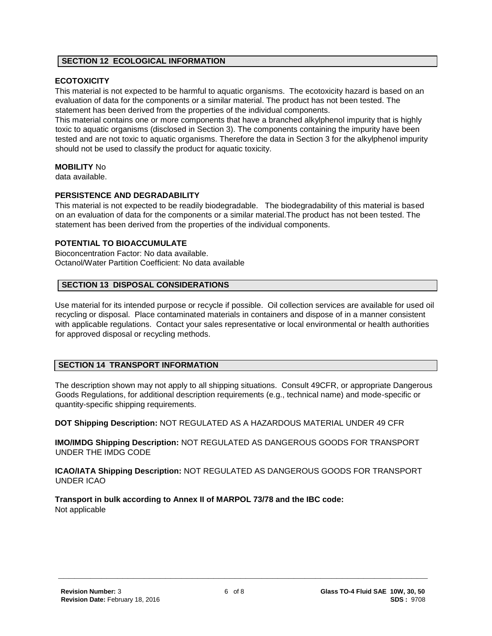#### **SECTION 12 ECOLOGICAL INFORMATION**

#### **ECOTOXICITY**

This material is not expected to be harmful to aquatic organisms. The ecotoxicity hazard is based on an evaluation of data for the components or a similar material. The product has not been tested. The statement has been derived from the properties of the individual components.

This material contains one or more components that have a branched alkylphenol impurity that is highly toxic to aquatic organisms (disclosed in Section 3). The components containing the impurity have been tested and are not toxic to aquatic organisms. Therefore the data in Section 3 for the alkylphenol impurity should not be used to classify the product for aquatic toxicity.

#### **MOBILITY** No

data available.

#### **PERSISTENCE AND DEGRADABILITY**

This material is not expected to be readily biodegradable. The biodegradability of this material is based on an evaluation of data for the components or a similar material.The product has not been tested. The statement has been derived from the properties of the individual components.

### **POTENTIAL TO BIOACCUMULATE**

Bioconcentration Factor: No data available. Octanol/Water Partition Coefficient: No data available

#### **SECTION 13 DISPOSAL CONSIDERATIONS**

Use material for its intended purpose or recycle if possible. Oil collection services are available for used oil recycling or disposal. Place contaminated materials in containers and dispose of in a manner consistent with applicable regulations. Contact your sales representative or local environmental or health authorities for approved disposal or recycling methods.

#### **SECTION 14 TRANSPORT INFORMATION**

The description shown may not apply to all shipping situations. Consult 49CFR, or appropriate Dangerous Goods Regulations, for additional description requirements (e.g., technical name) and mode-specific or quantity-specific shipping requirements.

**DOT Shipping Description:** NOT REGULATED AS A HAZARDOUS MATERIAL UNDER 49 CFR

**IMO/IMDG Shipping Description:** NOT REGULATED AS DANGEROUS GOODS FOR TRANSPORT UNDER THE IMDG CODE

**ICAO/IATA Shipping Description:** NOT REGULATED AS DANGEROUS GOODS FOR TRANSPORT UNDER ICAO

**Transport in bulk according to Annex II of MARPOL 73/78 and the IBC code:** Not applicable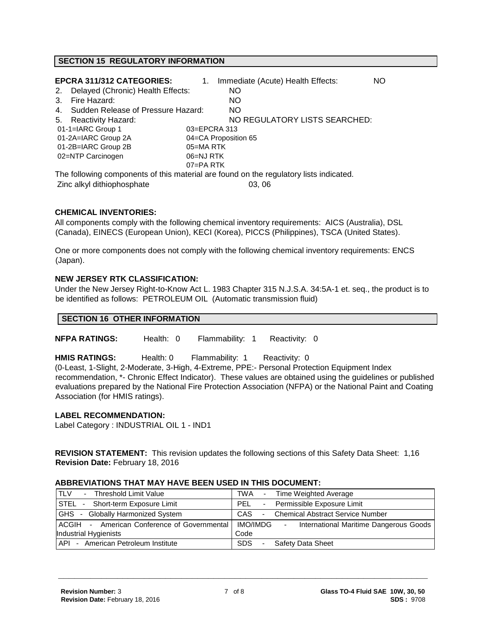#### **SECTION 15 REGULATORY INFORMATION**

|               | <b>EPCRA 311/312 CATEGORIES:</b>      |           | 1. | Immediate (Acute) Health Effects:                                                      | NO |
|---------------|---------------------------------------|-----------|----|----------------------------------------------------------------------------------------|----|
| 2.            | Delayed (Chronic) Health Effects:     |           |    | NO.                                                                                    |    |
| $\mathcal{R}$ | Fire Hazard:                          |           |    | NO.                                                                                    |    |
|               | 4. Sudden Release of Pressure Hazard: |           |    | NO.                                                                                    |    |
|               | 5. Reactivity Hazard:                 |           |    | NO REGULATORY LISTS SEARCHED:                                                          |    |
|               | 01-1=IARC Group 1                     |           |    | 03=EPCRA 313                                                                           |    |
|               | 01-2A=IARC Group 2A                   |           |    | 04=CA Proposition 65                                                                   |    |
|               | 01-2B=IARC Group 2B                   | 05=MA RTK |    |                                                                                        |    |
|               | 02=NTP Carcinogen                     | 06=NJ RTK |    |                                                                                        |    |
|               |                                       | 07=PA RTK |    |                                                                                        |    |
|               |                                       |           |    | The following components of this material are found on the regulatory lists indicated. |    |

 $T_{\text{tot}}$  following components of the regulatory lists in  $\sim$  regulatory lists in the regulatory lists in  $\sim$ Zinc alkyl dithiophosphate

#### **CHEMICAL INVENTORIES:**

All components comply with the following chemical inventory requirements: AICS (Australia), DSL (Canada), EINECS (European Union), KECI (Korea), PICCS (Philippines), TSCA (United States).

One or more components does not comply with the following chemical inventory requirements: ENCS (Japan).

#### **NEW JERSEY RTK CLASSIFICATION:**

Under the New Jersey Right-to-Know Act L. 1983 Chapter 315 N.J.S.A. 34:5A-1 et. seq., the product is to be identified as follows: PETROLEUM OIL (Automatic transmission fluid)

#### **SECTION 16 OTHER INFORMATION**

**NFPA RATINGS:** Health: 0 Flammability: 1 Reactivity: 0

**HMIS RATINGS:** Health: 0 Flammability: 1 Reactivity: 0

(0-Least, 1-Slight, 2-Moderate, 3-High, 4-Extreme, PPE:- Personal Protection Equipment Index recommendation, \*- Chronic Effect Indicator). These values are obtained using the guidelines or published evaluations prepared by the National Fire Protection Association (NFPA) or the National Paint and Coating Association (for HMIS ratings).

#### **LABEL RECOMMENDATION:**

Label Category : INDUSTRIAL OIL 1 - IND1

**REVISION STATEMENT:** This revision updates the following sections of this Safety Data Sheet: 1,16 **Revision Date:** February 18, 2016

#### **ABBREVIATIONS THAT MAY HAVE BEEN USED IN THIS DOCUMENT:**

| <b>TLV</b><br>Threshold Limit Value<br>$\sim$         | TWA - Time Weighted Average                                      |
|-------------------------------------------------------|------------------------------------------------------------------|
| STEL - Short-term Exposure Limit                      | - Permissible Exposure Limit<br>PFL                              |
| <b>GHS</b><br>- Globally Harmonized System            | CAS<br><b>Chemical Abstract Service Number</b><br>$\blacksquare$ |
| <b>IACGIH</b> - American Conference of Governmental I | IMO/IMDG<br>International Maritime Dangerous Goods<br>$\sim$     |
| Industrial Hygienists                                 | Code                                                             |
| API - American Petroleum Institute                    | <b>SDS</b><br>Safety Data Sheet<br>٠                             |